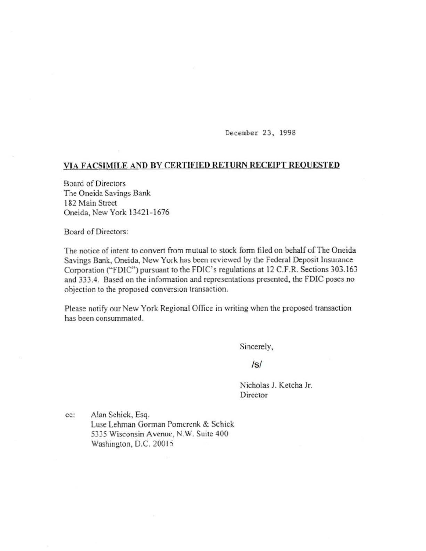December 23, 1998

## VIA FACSIMILE AND DY CERTIFIED RETURN RECEIPT REQUESTED

Board of Directors The Oneida Savings Bank 182 Main Street Oneida, New York 13421-1676

Board of Directors:

The notice of intent to convert from mutual to stock form filed on behalf of The Oneida Savings Bank, Oneida, New York has been reviewed by the Federal Deposit Insurance Corporation ("FDIC") pursuant to the FDIC's regulations at 12 C.F.R. Sections 303.163 and 333.4. Based on the information and representations presented, the FDIC poses no objection to the proposed conversion transaction.

Please notify our New York Regional Office in writing when the proposed transaction has been consummated.

Sincerely,

## /s/

Nicholas J. Ketcha Jr. Director

cc: Alan Schick, Esq. Luse Lehman Gorman Pomerenk & Schick 5335 Wisconsin Avenue, N.W. Suite 400 Washington, D.C. 20015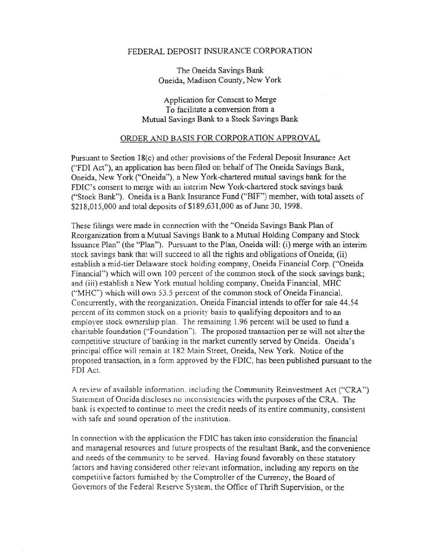## FEDERAL DEPOSIT INSURANCE CORPORATION

The Oneida Savings Bank Oneida, Madjson County, New York

Application for Consent to Merge To facilitate a conversion from a Mutual Savings Bank to a Stock Savings Bank

## ORDER AND BASIS FOR CORPORATION APPROVAL

Pursuant to Section 18(c) and other provisions of the Federal Deposit Insurance Act ("FDI Act"), an application has been filed on behalf of The Oneida Savings Bank, Oneida, New York ("Oneida"), a New York-chartered mutual savings bank for the FDIC's consent to merge with an interim New York-chartered stock savings bank ("Stock Bank"). Oneida is a Bank Insurance Fund ("BIF") member, with total assets of \$218,015,000 and total deposits of \$189,631,000 as of June 30, 1998.

These filings were made in connection with the "Oneida Savings Bank Plan of Reorganization from a Mutual Savings Bank to a Mutual Holding Company and Stock Issuance Plan" (the "Plan"). Pursuant to the Plan, Oneida will: (i) merge with an interim stock savings bank that will succeed to all the rights and obligations of Oneida; (ii) establish a mid-tier Delaware stock holding company, Oneida Financial Corp. ("Oneida Financial") which will own 100 percent of the common stock of the stock savings bank; and (iii) establish a New York mutual holding company, Oneida Financial, MHC (''MHC'') which will own 53.5 percent of the common stock of Oneida Financial. Concurrently, with the reorganization. Oneida Financial intends to offer for sale 44.54 percent of its common stock on a priority basis to qualifYing depositors and to an employee stock ownership plan. The remaining 1.96 percent will be used to fund a charitable foundation ("Foundation"). The proposed transaction per se will not alter the competitive structure of banking in the market currently served by Oneida. Oneida's principal office will remain at 182 Main Street, Oneida, New York. Notice of the proposed transaction, in a form approved by the FDIC, has been published pursuant to the FDI Act.

A review of available information. including the Community Reinvestment Act ("CRA") Statement of Oneida discloses no inconsistencies with the purposes of the CRA. The bank is expected to continue to meet the credit needs of its entire community, consistent with safe and sound operation of the institution.

In connection with the application the FDIC has taken into consideration the financial and managerial resources and future prospects of the resultant Bank, and the convenience and needs of the community to be served. Having found favorably on these statutory fac tors and having considered other relevant information, including any reports on the competitive factors furnished by the Comptroller of the Currency, the Board of Governors of the Federal Reserve System. the Office of Thrift Supervision, or the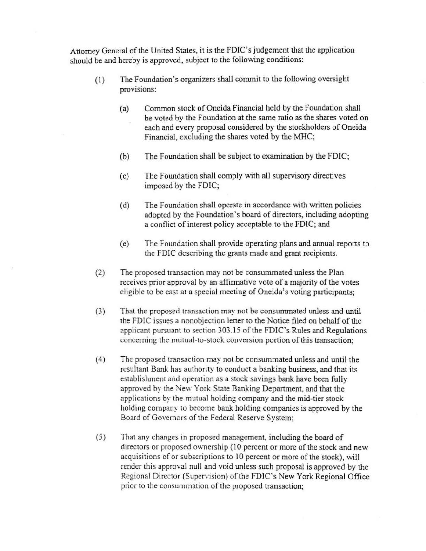Attorney General of the United States, it is the FDIC's judgement that the application should be and hereby is approved, subject to the following conditions:

- (1) The Foundation's organizers shall commit to the following oversight provisions:
	- (a) Common stock of Oneida Financial held by the Foundation shall be voted by the Foundation at the same ratio as the shares voted on each and every proposal considered by the stockholders of Oneida Financial, excluding the shares voted by the MHC;
	- (b) The Foundation shall be subject to examination by the FDIC;
	- (c) The Foundation shall comply with all supervisory directives imposed by the FDIC;
	- (d) The Foundation shall operate in accordance with written policies adopted by the Foundation's board of directors, including adopting a conflict of interest policy acceptable to the FDIC; and
	- (e) The Foundation shall provide operating plans and annual reports to the FDIC describing the grants made and grant recipients.
- (2) The proposed transaction may not be consummated unless the Plan receives prior approval by an affirmative vote of a majority of the votes eligible to be cast at a special meeting of Oneida's voting participants;
- (3) That the proposed transaction may not be consummated unless and until the FDIC issues a nonobjection letter to the Notice filed on behalf of the applicant pursuant to section 303.15 of the FDIC's Rules and Regulations concerning the mutual-to-stock conversion portion of this transaction;
- ( 4) The proposed transaction may not be consummated unless and until the resultant Bank has authority to conduct a banking business, and that its establishment and operation as a stock savings bank have been fully approved by the New York State Banking Department, and that the applications by the mutual holding company and the mid-tier stock holding company to become bank holding companies is approved by the Board of Governors of the Federal Reserve System;
- (5) That any changes in proposed management, including the board of directors or proposed ownership (10 percent or more of the stock and new acquisitions of or subscriptions to 10 percent or more of the stock), will render this approval null and void unless such proposal is approved by the Regional Director (Supervision) of the FDIC's New York Regional Office prior to the consummation of the proposed transaction;